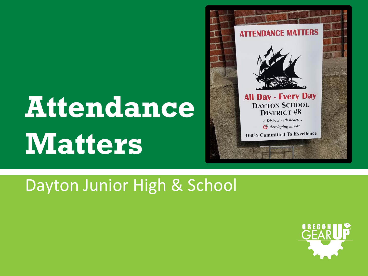# **Attendance Matters**



#### Dayton Junior High & School

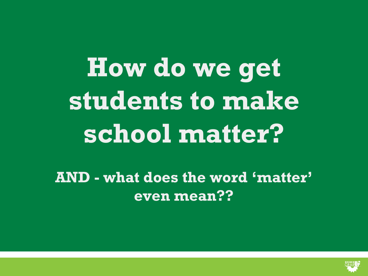**How do we get students to make school matter?**

**AND - what does the word 'matter' even mean??**

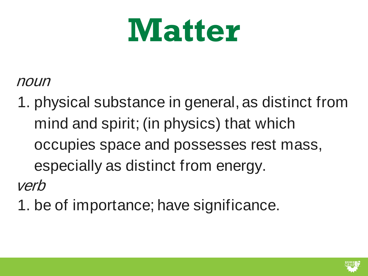# **Matter**

#### noun

1. physical substance in general, as distinct from mind and spirit; (in physics) that which occupies space and possesses rest mass, especially as distinct from energy. verb

1. be of importance; have significance.

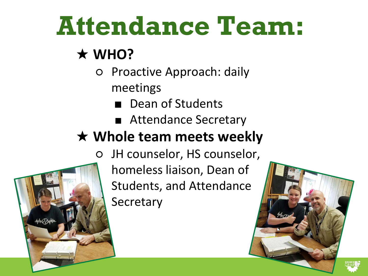### **Attendance Team:**

#### ★ **WHO?**

- Proactive Approach: daily meetings
	- Dean of Students
	- Attendance Secretary

#### ★ **Whole team meets weekly**

○ JH counselor, HS counselor,

homeless liaison, Dean of Students, and Attendance **Secretary** 



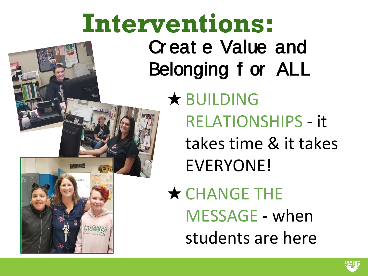### **Interventions:** Cr eat e Value and Belonging f or ALL ★ BUILDING RELATIONSHIPS - it takes time & it takes EVERYONE! **★ CHANGE THE** MESSAGE - when students are here

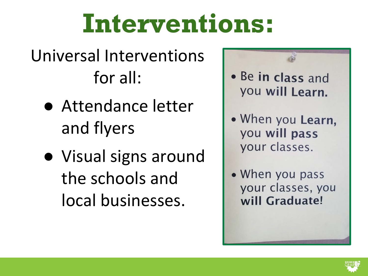#### Universal Interventions for all:

- Attendance letter and flyers
- Visual signs around the schools and local businesses.



- When you Learn, you will pass your classes.
- When you pass your classes, you will Graduate!

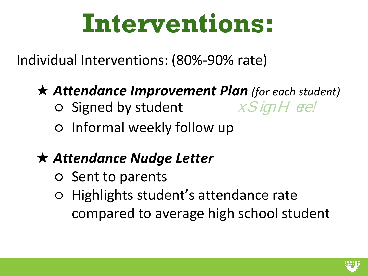Individual Interventions: (80%-90% rate)

#### ★ *Attendance Improvement Plan (for each student)*

- $\circ$  Signed by student  $x$  SignH ere!
- 
- Informal weekly follow up

#### ★ *Attendance Nudge Letter*

- Sent to parents
- Highlights student's attendance rate compared to average high school student

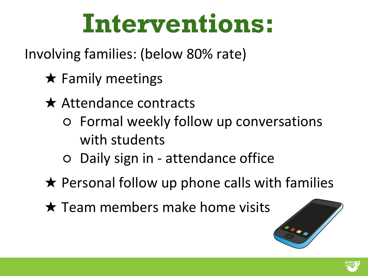Involving families: (below 80% rate)

- $\star$  Family meetings
- **★ Attendance contracts** 
	- Formal weekly follow up conversations with students
	- Daily sign in attendance office
- $\star$  Personal follow up phone calls with families
- $\star$  Team members make home visits



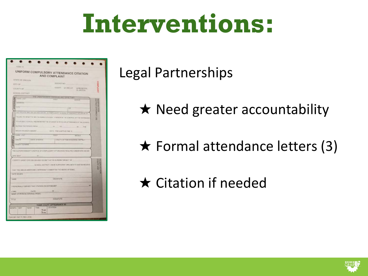|                | <b>STATE OF OREGON</b>                                                                                                                                               |                                                |  | <b>AND COMPLAINT</b>                                              |                  |                                                                                   |                       |                     |
|----------------|----------------------------------------------------------------------------------------------------------------------------------------------------------------------|------------------------------------------------|--|-------------------------------------------------------------------|------------------|-----------------------------------------------------------------------------------|-----------------------|---------------------|
|                | CITY OF                                                                                                                                                              |                                                |  | <b>DOCKET NO</b>                                                  |                  |                                                                                   |                       |                     |
|                | <b>COUNTY OF</b>                                                                                                                                                     |                                                |  |                                                                   | COURT DI CIRCUIT | LI MUNICIPAL                                                                      |                       |                     |
|                | <b>SCHOOL DISTRICT</b>                                                                                                                                               |                                                |  |                                                                   |                  | <b>QUISTICE</b>                                                                   |                       |                     |
|                |                                                                                                                                                                      |                                                |  | THE UNDERGRONED CERTIFIES AND SAYS THAT                           |                  |                                                                                   |                       |                     |
| DEFENDANT      | <b>SAME LAST</b>                                                                                                                                                     |                                                |  | <b>FSHS1</b>                                                      |                  | <b>MEIGEF</b>                                                                     |                       |                     |
|                | <b>ADDRITICS</b>                                                                                                                                                     |                                                |  |                                                                   |                  |                                                                                   |                       |                     |
|                | CITY                                                                                                                                                                 |                                                |  |                                                                   | 2P               |                                                                                   | DISTRICT ATTORNEY USE | <b>MARINED HORS</b> |
|                |                                                                                                                                                                      |                                                |  |                                                                   |                  | DID VIOLATE ORS 339 D20 AND 333 990. A COMPULSORY SCHOOL ATTENDANCE VIOLATION: BY |                       |                     |
|                |                                                                                                                                                                      |                                                |  |                                                                   |                  |                                                                                   |                       |                     |
| OFFENSE        | FAILING TO SEND THE RELOW NAMED STUDENT. A MINOR IN THE CONTROL OF THE DEFENDANT.<br>TO A PUBLIC SCHOOL AND MAINTAIN THE STUDENT IN REGULAR ATTENDANCE AT THE SCHOOL |                                                |  |                                                                   |                  |                                                                                   |                       |                     |
|                |                                                                                                                                                                      |                                                |  |                                                                   |                  |                                                                                   |                       |                     |
|                |                                                                                                                                                                      |                                                |  | DUFING THE PERIOD FROM 20 20 10                                   |                  | $20 - 7H$                                                                         |                       |                     |
|                | MINOR HAS BEEN ABSENT                                                                                                                                                |                                                |  | DAYS, PRESUMPTIVE FINE \$                                         |                  |                                                                                   |                       |                     |
|                | NAME: LAST                                                                                                                                                           |                                                |  | F#197                                                             |                  | MIDDLE                                                                            |                       |                     |
| <b>STUDEN</b>  | GRADE                                                                                                                                                                | <b>DATE OF BIRTH</b>                           |  |                                                                   |                  | LENSTH OF TIME IN SCHOOL DISTRICT                                                 |                       |                     |
|                |                                                                                                                                                                      |                                                |  |                                                                   |                  |                                                                                   |                       |                     |
|                | <b>PARENTISTINAME</b>                                                                                                                                                |                                                |  |                                                                   |                  |                                                                                   |                       |                     |
|                |                                                                                                                                                                      |                                                |  |                                                                   |                  |                                                                                   |                       |                     |
|                |                                                                                                                                                                      |                                                |  |                                                                   |                  | THE SUPERINTENDENT'S NOTICE OF COMPULSORY ATTENDANCE REQUIRED UNDER ORS 339 925.  |                       |                     |
|                | WAS SENT                                                                                                                                                             | $-120$                                         |  |                                                                   |                  |                                                                                   |                       |                     |
|                |                                                                                                                                                                      |                                                |  | I CERTIFY UNDER ORS 330.999 AND 153.990 THAT AS SUPERINTENDENT OF |                  |                                                                                   |                       |                     |
|                |                                                                                                                                                                      |                                                |  |                                                                   |                  | SCHOOL DISTRICT, I HAVE SUFFICIENT GROUNDS TO AND DO BELIEVE                      |                       |                     |
|                |                                                                                                                                                                      |                                                |  |                                                                   |                  |                                                                                   |                       | <b>BSO ABICKO</b>   |
|                |                                                                                                                                                                      |                                                |  | THAT THE ABOVE-MENTIONED DEFENDANT COMMITTED THE ABOVE OFFENSE.   |                  |                                                                                   |                       |                     |
|                | DATE ISSUED                                                                                                                                                          |                                                |  |                                                                   |                  |                                                                                   |                       |                     |
|                |                                                                                                                                                                      |                                                |  | <b>SIGNATURE</b>                                                  |                  |                                                                                   |                       | <b>IESEHVED1</b>    |
|                |                                                                                                                                                                      |                                                |  |                                                                   |                  |                                                                                   |                       |                     |
|                |                                                                                                                                                                      | I PERSONALLY SERVED THIS CITATION ON DEFENDANT |  |                                                                   |                  |                                                                                   | AT                    |                     |
|                |                                                                                                                                                                      | (DATE)                                         |  | 20                                                                |                  |                                                                                   |                       |                     |
| NAME<br>(TIME) |                                                                                                                                                                      | NAME OF PERSON SERVING (PRINT)                 |  |                                                                   |                  |                                                                                   |                       |                     |
| TITLE          |                                                                                                                                                                      |                                                |  | SIGNATURE                                                         |                  |                                                                                   |                       |                     |

Legal Partnerships

 $\star$  Need greater accountability

 $\star$  Formal attendance letters (3)

★ Citation if needed

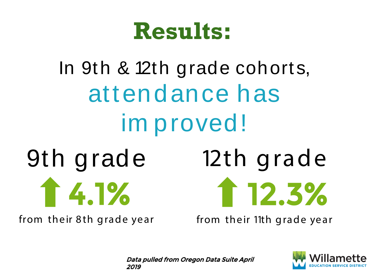### **Results:**

### In 9th & 12th grade cohorts, attendance has im proved! 9th grade 4.1% 12th grade 12.3%

from their 8th grade year

from their 11th grade year

Data pulled from Oregon Data Suite April 2019

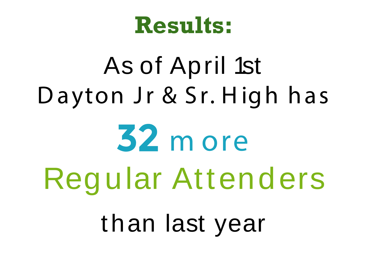### **Results:**

# As of April 1st Dayton Jr & Sr. High has 32 m ore Regular Attenders than last year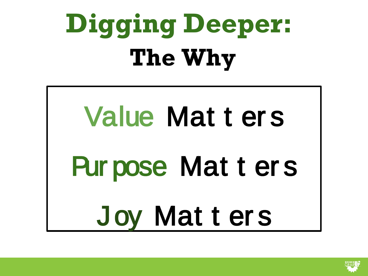# **Digging Deeper: The Why**

# Value Mat t er s Pur pose Mat t er s Joy Mat t er s